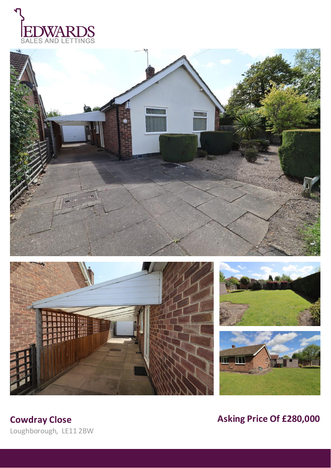









Loughborough, LE11 2BW

**Cowdray Close Cowdray Close Asking Price Of £280,000**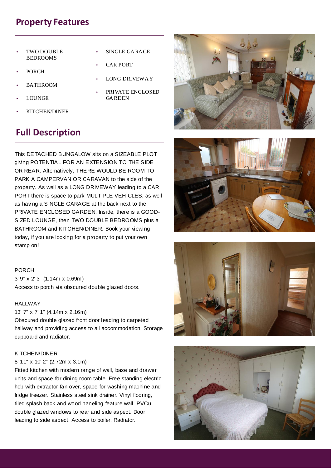# **Property Features**

- TWO DOUBLE BEDROOMS
- PORCH
- BATHROOM
- LOUNGE
- KITCHEN/DINER
- **Full Description**
- SINGLE GARAGE
- **CAR PORT**
- LONG DRIVEWAY
- PRIVATE ENCLOSED GARDEN

This DETACHED BUNGALOW sits on a SIZEABLE PLOT giving POTENTIAL FOR AN EXTENSION TO THE SIDE OR REAR. Alternatively, THERE WOULD BE ROOM TO PARK A CAMPERVAN OR CARAVAN to the side of the property. As well as a LONG DRIVEWAY leading to a CAR PORT there is space to park MULTIPLE VEHICLES, as well as having a SINGLE GARAGE at the back next to the PRIVATE ENCLOSED GARDEN. Inside, there is a GOOD-SIZED LOUNGE, then TWO DOUBLE BEDROOMS plus a BATHROOM and KITCHEN/DINER. Book your viewing today, if you are looking for a property to put your own stamp on!

PORCH 3' 9" x 2' 3" (1.14m x 0.69m) Access to porch via obscured double glazed doors.

## HALLWAY

13' 7" x 7' 1" (4.14m x 2.16m)

Obscured double glazed front door leading to carpeted hallway and providing access to all accommodation. Storage cupboard and radiator.

## KITCHEN/DINER

# 8' 11" x 10' 2" (2.72m x 3.1m)

Fitted kitchen with modern range of wall, base and drawer units and space for dining room table. Free standing electric hob with extractor fan over, space for washing machine and fridge freezer. Stainless steel sink drainer. Vinyl flooring, tiled splash back and wood paneling feature wall. PVCu double glazed windows to rear and side aspect. Door leading to side aspect. Access to boiler. Radiator.







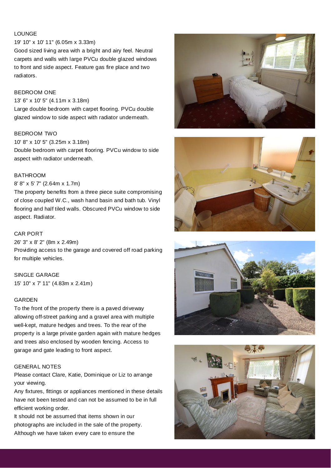# LOUNGE

## 19' 10" x 10' 11" (6.05m x 3.33m)

Good sized living area with a bright and airy feel. Neutral carpets and walls with large PVCu double glazed windows to front and side aspect. Feature gas fire place and two radiators.

## BEDROOM ONE

13' 6" x 10' 5" (4.11m x 3.18m)

Large double bedroom with carpet flooring. PVCu double glazed window to side aspect with radiator underneath.

# BEDROOM TWO

#### 10' 8" x 10' 5" (3.25m x 3.18m)

Double bedroom with carpet flooring. PVCu window to side aspect with radiator underneath.

# **BATHROOM**

# 8' 8" x 5' 7" (2.64m x 1.7m)

The property benefits from a three piece suite compromising of close coupled W.C., wash hand basin and bath tub. Vinyl flooring and half tiled walls. Obscured PVCu window to side aspect. Radiator.

## CAR PORT

26' 3" x 8' 2" (8m x 2.49m) Providing access to the garage and covered off road parking for multiple vehicles.

# SINGLE GARAGE

15' 10" x 7' 11" (4.83m x 2.41m)

### GARDEN

To the front of the property there is a paved driveway allowing off-street parking and a gravel area with multiple well-kept, mature hedges and trees. To the rear of the property is a large private garden again with mature hedges and trees also enclosed by wooden fencing. Access to garage and gate leading to front aspect.

## GENERAL NOTES

Please contact Clare, Katie, Dominique or Liz to arrange your viewing.

Any fixtures, fittings or appliances mentioned in these details have not been tested and can not be assumed to be in full efficient working order.

It should not be assumed that items shown in our photographs are included in the sale of the property. Although we have taken every care to ensure the